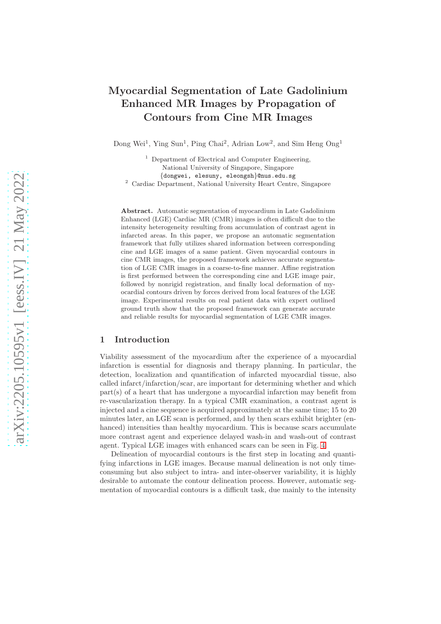# Myocardial Segmentation of Late Gadolinium Enhanced MR Images by Propagation of Contours from Cine MR Images

Dong Wei<sup>1</sup>, Ying Sun<sup>1</sup>, Ping Chai<sup>2</sup>, Adrian Low<sup>2</sup>, and Sim Heng Ong<sup>1</sup>

<sup>1</sup> Department of Electrical and Computer Engineering, National University of Singapore, Singapore {dongwei, elesuny, eleongsh}@nus.edu.sg <sup>2</sup> Cardiac Department, National University Heart Centre, Singapore

Abstract. Automatic segmentation of myocardium in Late Gadolinium Enhanced (LGE) Cardiac MR (CMR) images is often difficult due to the intensity heterogeneity resulting from accumulation of contrast agent in infarcted areas. In this paper, we propose an automatic segmentation framework that fully utilizes shared information between corresponding cine and LGE images of a same patient. Given myocardial contours in cine CMR images, the proposed framework achieves accurate segmentation of LGE CMR images in a coarse-to-fine manner. Affine registration is first performed between the corresponding cine and LGE image pair, followed by nonrigid registration, and finally local deformation of myocardial contours driven by forces derived from local features of the LGE image. Experimental results on real patient data with expert outlined ground truth show that the proposed framework can generate accurate and reliable results for myocardial segmentation of LGE CMR images.

## 1 Introduction

Viability assessment of the myocardium after the experience of a myocardial infarction is essential for diagnosis and therapy planning. In particular, the detection, localization and quantification of infarcted myocardial tissue, also called infarct/infarction/scar, are important for determining whether and which part(s) of a heart that has undergone a myocardial infarction may benefit from re-vascularization therapy. In a typical CMR examination, a contrast agent is injected and a cine sequence is acquired approximately at the same time; 15 to 20 minutes later, an LGE scan is performed, and by then scars exhibit brighter (enhanced) intensities than healthy myocardium. This is because scars accumulate more contrast agent and experience delayed wash-in and wash-out of contrast agent. Typical LGE images with enhanced scars can be seen in Fig. [4.](#page-6-0)

Delineation of myocardial contours is the first step in locating and quantifying infarctions in LGE images. Because manual delineation is not only timeconsuming but also subject to intra- and inter-observer variability, it is highly desirable to automate the contour delineation process. However, automatic segmentation of myocardial contours is a difficult task, due mainly to the intensity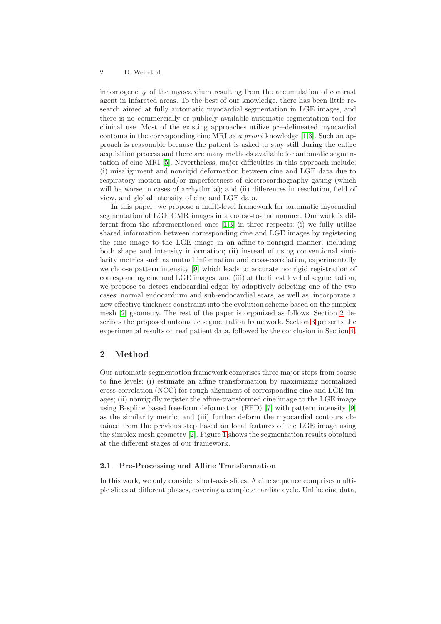inhomogeneity of the myocardium resulting from the accumulation of contrast agent in infarcted areas. To the best of our knowledge, there has been little research aimed at fully automatic myocardial segmentation in LGE images, and there is no commercially or publicly available automatic segmentation tool for clinical use. Most of the existing approaches utilize pre-delineated myocardial contours in the corresponding cine MRI as a priori knowledge [\[1](#page-7-0)[,3\]](#page-7-1). Such an approach is reasonable because the patient is asked to stay still during the entire acquisition process and there are many methods available for automatic segmentation of cine MRI [\[5\]](#page-7-2). Nevertheless, major difficulties in this approach include: (i) misalignment and nonrigid deformation between cine and LGE data due to respiratory motion and/or imperfectness of electrocardiography gating (which will be worse in cases of arrhythmia); and (ii) differences in resolution, field of view, and global intensity of cine and LGE data.

In this paper, we propose a multi-level framework for automatic myocardial segmentation of LGE CMR images in a coarse-to-fine manner. Our work is different from the aforementioned ones [\[1,](#page-7-0)[3\]](#page-7-1) in three respects: (i) we fully utilize shared information between corresponding cine and LGE images by registering the cine image to the LGE image in an affine-to-nonrigid manner, including both shape and intensity information; (ii) instead of using conventional similarity metrics such as mutual information and cross-correlation, experimentally we choose pattern intensity [\[9\]](#page-7-3) which leads to accurate nonrigid registration of corresponding cine and LGE images; and (iii) at the finest level of segmentation, we propose to detect endocardial edges by adaptively selecting one of the two cases: normal endocardium and sub-endocardial scars, as well as, incorporate a new effective thickness constraint into the evolution scheme based on the simplex mesh [\[2\]](#page-7-4) geometry. The rest of the paper is organized as follows. Section [2](#page-1-0) describes the proposed automatic segmentation framework. Section [3](#page-6-1) presents the experimental results on real patient data, followed by the conclusion in Section [4.](#page-7-5)

# <span id="page-1-0"></span>2 Method

Our automatic segmentation framework comprises three major steps from coarse to fine levels: (i) estimate an affine transformation by maximizing normalized cross-correlation (NCC) for rough alignment of corresponding cine and LGE images; (ii) nonrigidly register the affine-transformed cine image to the LGE image using B-spline based free-form deformation (FFD) [\[7\]](#page-7-6) with pattern intensity [\[9\]](#page-7-3) as the similarity metric; and (iii) further deform the myocardial contours obtained from the previous step based on local features of the LGE image using the simplex mesh geometry [\[2\]](#page-7-4). Figure [1](#page-2-0) shows the segmentation results obtained at the different stages of our framework.

#### 2.1 Pre-Processing and Affine Transformation

In this work, we only consider short-axis slices. A cine sequence comprises multiple slices at different phases, covering a complete cardiac cycle. Unlike cine data,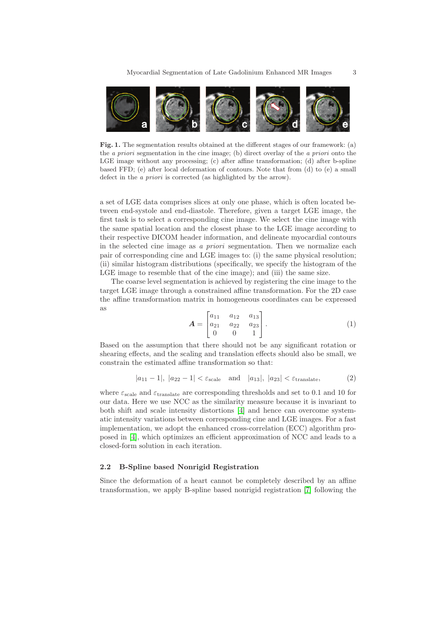

Fig. 1. The segmentation results obtained at the different stages of our framework: (a) the a priori segmentation in the cine image; (b) direct overlay of the a priori onto the LGE image without any processing; (c) after affine transformation; (d) after b-spline based FFD; (e) after local deformation of contours. Note that from (d) to (e) a small defect in the *a priori* is corrected (as highlighted by the arrow).

<span id="page-2-0"></span>a set of LGE data comprises slices at only one phase, which is often located between end-systole and end-diastole. Therefore, given a target LGE image, the first task is to select a corresponding cine image. We select the cine image with the same spatial location and the closest phase to the LGE image according to their respective DICOM header information, and delineate myocardial contours in the selected cine image as a priori segmentation. Then we normalize each pair of corresponding cine and LGE images to: (i) the same physical resolution; (ii) similar histogram distributions (specifically, we specify the histogram of the LGE image to resemble that of the cine image); and (iii) the same size.

The coarse level segmentation is achieved by registering the cine image to the target LGE image through a constrained affine transformation. For the 2D case the affine transformation matrix in homogeneous coordinates can be expressed as

$$
\mathbf{A} = \begin{bmatrix} a_{11} & a_{12} & a_{13} \\ a_{21} & a_{22} & a_{23} \\ 0 & 0 & 1 \end{bmatrix} . \tag{1}
$$

Based on the assumption that there should not be any significant rotation or shearing effects, and the scaling and translation effects should also be small, we constrain the estimated affine transformation so that:

$$
|a_{11} - 1|, |a_{22} - 1| < \varepsilon_{\text{scale}} \quad \text{and} \quad |a_{13}|, |a_{23}| < \varepsilon_{\text{translate}}, \tag{2}
$$

where  $\varepsilon_{\text{scale}}$  and  $\varepsilon_{\text{translate}}$  are corresponding thresholds and set to 0.1 and 10 for our data. Here we use NCC as the similarity measure because it is invariant to both shift and scale intensity distortions [\[4\]](#page-7-7) and hence can overcome systematic intensity variations between corresponding cine and LGE images. For a fast implementation, we adopt the enhanced cross-correlation (ECC) algorithm proposed in [\[4\]](#page-7-7), which optimizes an efficient approximation of NCC and leads to a closed-form solution in each iteration.

## 2.2 B-Spline based Nonrigid Registration

Since the deformation of a heart cannot be completely described by an affine transformation, we apply B-spline based nonrigid registration [\[7\]](#page-7-6) following the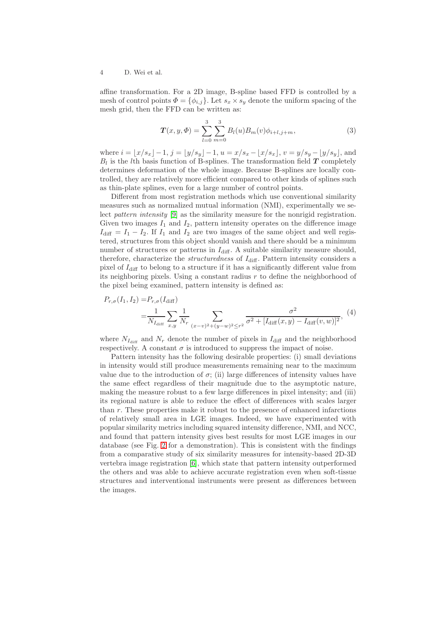affine transformation. For a 2D image, B-spline based FFD is controlled by a mesh of control points  $\Phi = {\phi_{i,j}}$ . Let  $s_x \times s_y$  denote the uniform spacing of the mesh grid, then the FFD can be written as:

$$
T(x, y, \Phi) = \sum_{l=0}^{3} \sum_{m=0}^{3} B_l(u) B_m(v) \phi_{i+l, j+m}, \qquad (3)
$$

where  $i = \lfloor x/s_x \rfloor - 1, j = \lfloor y/s_y \rfloor - 1, u = x/s_x - \lfloor x/s_x \rfloor, v = y/s_y - \lfloor y/s_y \rfloor$ , and  $B_l$  is the *l*th basis function of B-splines. The transformation field  $T$  completely determines deformation of the whole image. Because B-splines are locally controlled, they are relatively more efficient compared to other kinds of splines such as thin-plate splines, even for a large number of control points.

Different from most registration methods which use conventional similarity measures such as normalized mutual information (NMI), experimentally we se-lect pattern intensity [\[9\]](#page-7-3) as the similarity measure for the nonrigid registration. Given two images  $I_1$  and  $I_2$ , pattern intensity operates on the difference image  $I_{\text{diff}} = I_1 - I_2$ . If  $I_1$  and  $I_2$  are two images of the same object and well registered, structures from this object should vanish and there should be a minimum number of structures or patterns in  $I_{\text{diff}}$ . A suitable similarity measure should, therefore, characterize the *structuredness* of  $I_{\text{diff}}$ . Pattern intensity considers a pixel of  $I_{\text{diff}}$  to belong to a structure if it has a significantly different value from its neighboring pixels. Using a constant radius r to define the neighborhood of the pixel being examined, pattern intensity is defined as:

$$
P_{r,\sigma}(I_1, I_2) = P_{r,\sigma}(I_{\text{diff}})
$$
  
=  $\frac{1}{N_{I_{\text{diff}}}} \sum_{x,y} \frac{1}{N_r} \sum_{(x-v)^2 + (y-w)^2 \le r^2} \frac{\sigma^2}{\sigma^2 + [I_{\text{diff}}(x,y) - I_{\text{diff}}(v,w)]^2}$ , (4)

where  $N_{I_{\text{diff}}}$  and  $N_r$  denote the number of pixels in  $I_{\text{diff}}$  and the neighborhood respectively. A constant  $\sigma$  is introduced to suppress the impact of noise.

Pattern intensity has the following desirable properties: (i) small deviations in intensity would still produce measurements remaining near to the maximum value due to the introduction of  $\sigma$ ; (ii) large differences of intensity values have the same effect regardless of their magnitude due to the asymptotic nature, making the measure robust to a few large differences in pixel intensity; and (iii) its regional nature is able to reduce the effect of differences with scales larger than r. These properties make it robust to the presence of enhanced infarctions of relatively small area in LGE images. Indeed, we have experimented with popular similarity metrics including squared intensity difference, NMI, and NCC, and found that pattern intensity gives best results for most LGE images in our database (see Fig. [2](#page-4-0) for a demonstration). This is consistent with the findings from a comparative study of six similarity measures for intensity-based 2D-3D vertebra image registration [\[6\]](#page-7-8), which state that pattern intensity outperformed the others and was able to achieve accurate registration even when soft-tissue structures and interventional instruments were present as differences between the images.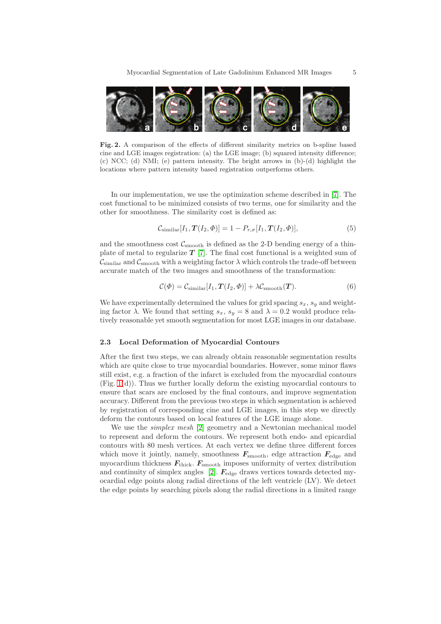

Fig. 2. A comparison of the effects of different similarity metrics on b-spline based cine and LGE images registration: (a) the LGE image; (b) squared intensity difference; (c) NCC; (d) NMI; (e) pattern intensity. The bright arrows in (b)-(d) highlight the locations where pattern intensity based registration outperforms others.

<span id="page-4-0"></span>In our implementation, we use the optimization scheme described in [\[7\]](#page-7-6). The cost functional to be minimized consists of two terms, one for similarity and the other for smoothness. The similarity cost is defined as:

$$
\mathcal{C}_{\text{similar}}[I_1, \boldsymbol{T}(I_2, \boldsymbol{\Phi})] = 1 - P_{r,\sigma}[I_1, \boldsymbol{T}(I_2, \boldsymbol{\Phi})],\tag{5}
$$

and the smoothness cost  $C_{smooth}$  is defined as the 2-D bending energy of a thinplate of metal to regularize  $T$  [\[7\]](#page-7-6). The final cost functional is a weighted sum of  $\mathcal{C}_{\text{similar}}$  and  $\mathcal{C}_{\text{smooth}}$  with a weighting factor  $\lambda$  which controls the trade-off between accurate match of the two images and smoothness of the transformation:

$$
\mathcal{C}(\Phi) = \mathcal{C}_{\text{similar}}[I_1, \mathcal{T}(I_2, \Phi)] + \lambda \mathcal{C}_{\text{smooth}}(\mathcal{T}). \tag{6}
$$

We have experimentally determined the values for grid spacing  $s_x$ ,  $s_y$  and weighting factor  $\lambda$ . We found that setting  $s_x$ ,  $s_y = 8$  and  $\lambda = 0.2$  would produce relatively reasonable yet smooth segmentation for most LGE images in our database.

#### 2.3 Local Deformation of Myocardial Contours

After the first two steps, we can already obtain reasonable segmentation results which are quite close to true myocardial boundaries. However, some minor flaws still exist, e.g. a fraction of the infarct is excluded from the myocardial contours (Fig. [1\(](#page-2-0)d)). Thus we further locally deform the existing myocardial contours to ensure that scars are enclosed by the final contours, and improve segmentation accuracy. Different from the previous two steps in which segmentation is achieved by registration of corresponding cine and LGE images, in this step we directly deform the contours based on local features of the LGE image alone.

We use the *simplex mesh* [\[2\]](#page-7-4) geometry and a Newtonian mechanical model to represent and deform the contours. We represent both endo- and epicardial contours with 80 mesh vertices. At each vertex we define three different forces which move it jointly, namely, smoothness  $F_{\rm smooth}$ , edge attraction  $F_{\rm edge}$  and myocardium thickness  $F_{\text{thick}}$ .  $F_{\text{smooth}}$  imposes uniformity of vertex distribution and continuity of simplex angles [\[2\]](#page-7-4).  $\textit{\textbf{F}}_{\text{edge}}$  draws vertices towards detected myocardial edge points along radial directions of the left ventricle (LV). We detect the edge points by searching pixels along the radial directions in a limited range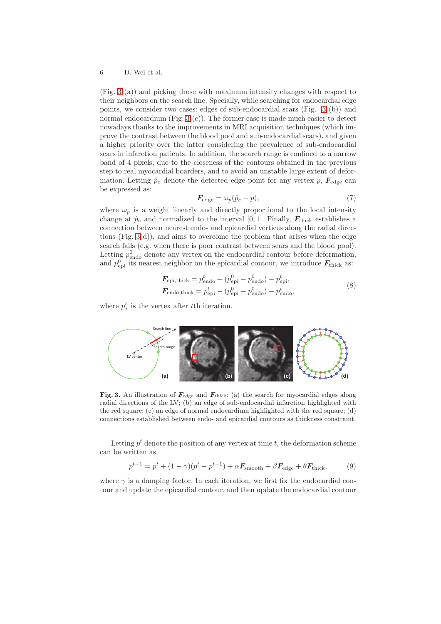(Fig. [3](#page-5-0) (a)) and picking those with maximum intensity changes with respect to their neighbors on the search line. Specially, while searching for endocardial edge points, we consider two cases: edges of sub-endocardial scars (Fig. [3](#page-5-0) (b)) and normal endocardium (Fig. [3](#page-5-0)  $(c)$ ). The former case is made much easier to detect nowadays thanks to the improvements in MRI acquisition techniques (which improve the contrast between the blood pool and sub-endocardial scars), and given a higher priority over the latter considering the prevalence of sub-endocardial scars in infarction patients. In addition, the search range is confined to a narrow band of 4 pixels, due to the closeness of the contours obtained in the previous step to real myocardial boarders, and to avoid an unstable large extent of deformation. Letting  $\hat{p}_e$  denote the detected edge point for any vertex p,  $\mathbf{F}_{\text{edge}}$  can be expressed as:

$$
\boldsymbol{F}_{\text{edge}} = \omega_p (\hat{p}_e - p),\tag{7}
$$

where  $\omega_p$  is a weight linearly and directly proportional to the local intensity change at  $\hat{p}_e$  and normalized to the interval [0, 1]. Finally,  $\mathbf{F}_{\text{thick}}$  establishes a connection between nearest endo- and epicardial vertices along the radial directions (Fig.  $3(d)$ ), and aims to overcome the problem that arises when the edge search fails (e.g. when there is poor contrast between scars and the blood pool). Letting  $p_{\text{endo}}^0$  denote any vertex on the endocardial contour before deformation, and  $p_{\text{epi}}^0$  its nearest neighbor on the epicardial contour, we introduce  $F_{\text{thick}}$  as:

$$
\begin{aligned} \mathbf{F}_{\text{epi},\text{thick}} &= p_{\text{endo}}^t + (p_{\text{epi}}^0 - p_{\text{endo}}^0) - p_{\text{epi}}^t, \\ \mathbf{F}_{\text{endo},\text{thick}} &= p_{\text{epi}}^t - (p_{\text{epi}}^0 - p_{\text{endo}}^0) - p_{\text{endo}}^t, \end{aligned} \tag{8}
$$

where  $p_*^t$  is the vertex after the iteration.



<span id="page-5-0"></span>Fig. 3. An illustration of  $F_{\text{edge}}$  and  $F_{\text{thick}}$ : (a) the search for myocardial edges along radial directions of the LV; (b) an edge of sub-endocardial infarction highlighted with the red square; (c) an edge of normal endocardium highlighted with the red square; (d) connections established between endo- and epicardial contours as thickness constraint.

Letting  $p^t$  denote the position of any vertex at time t, the deformation scheme can be written as

<span id="page-5-1"></span>
$$
p^{t+1} = p^t + (1 - \gamma)(p^t - p^{t-1}) + \alpha \mathbf{F}_{\text{smooth}} + \beta \mathbf{F}_{\text{edge}} + \theta \mathbf{F}_{\text{thick}},\tag{9}
$$

where  $\gamma$  is a damping factor. In each iteration, we first fix the endocardial contour and update the epicardial contour, and then update the endocardial contour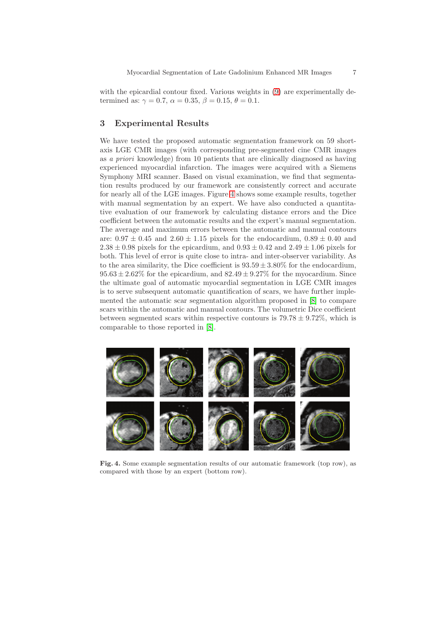with the epicardial contour fixed. Various weights in  $(9)$  are experimentally determined as:  $\gamma = 0.7$ ,  $\alpha = 0.35$ ,  $\beta = 0.15$ ,  $\theta = 0.1$ .

## <span id="page-6-1"></span>3 Experimental Results

We have tested the proposed automatic segmentation framework on 59 shortaxis LGE CMR images (with corresponding pre-segmented cine CMR images as a priori knowledge) from 10 patients that are clinically diagnosed as having experienced myocardial infarction. The images were acquired with a Siemens Symphony MRI scanner. Based on visual examination, we find that segmentation results produced by our framework are consistently correct and accurate for nearly all of the LGE images. Figure [4](#page-6-0) shows some example results, together with manual segmentation by an expert. We have also conducted a quantitative evaluation of our framework by calculating distance errors and the Dice coefficient between the automatic results and the expert's manual segmentation. The average and maximum errors between the automatic and manual contours are:  $0.97 \pm 0.45$  and  $2.60 \pm 1.15$  pixels for the endocardium,  $0.89 \pm 0.40$  and  $2.38 \pm 0.98$  pixels for the epicardium, and  $0.93 \pm 0.42$  and  $2.49 \pm 1.06$  pixels for both. This level of error is quite close to intra- and inter-observer variability. As to the area similarity, the Dice coefficient is  $93.59 \pm 3.80\%$  for the endocardium,  $95.63 \pm 2.62\%$  for the epicardium, and  $82.49 \pm 9.27\%$  for the myocardium. Since the ultimate goal of automatic myocardial segmentation in LGE CMR images is to serve subsequent automatic quantification of scars, we have further implemented the automatic scar segmentation algorithm proposed in [\[8\]](#page-7-9) to compare scars within the automatic and manual contours. The volumetric Dice coefficient between segmented scars within respective contours is  $79.78 \pm 9.72\%$ , which is comparable to those reported in [\[8\]](#page-7-9).



<span id="page-6-0"></span>Fig. 4. Some example segmentation results of our automatic framework (top row), as compared with those by an expert (bottom row).